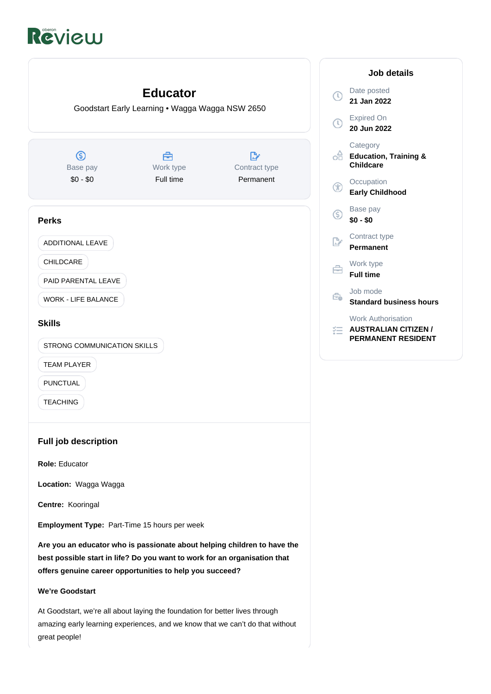# Review



amazing early learning experiences, and we know that we can't do that without great people!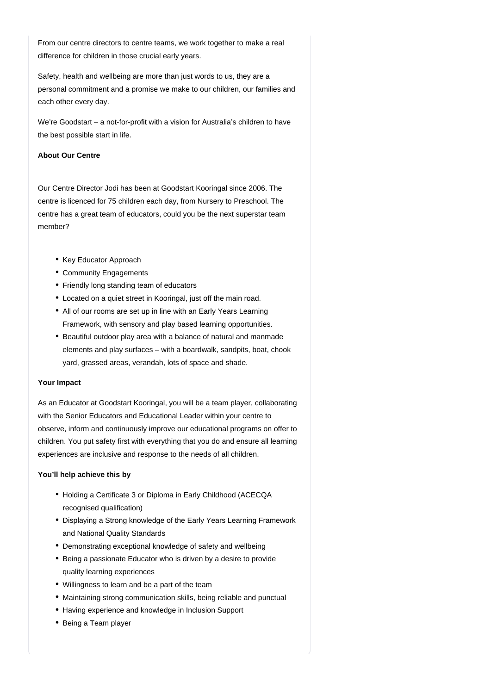From our centre directors to centre teams, we work together to make a real difference for children in those crucial early years.

Safety, health and wellbeing are more than just words to us, they are a personal commitment and a promise we make to our children, our families and each other every day.

We're Goodstart – a not-for-profit with a vision for Australia's children to have the best possible start in life.

## **About Our Centre**

Our Centre Director Jodi has been at Goodstart Kooringal since 2006. The centre is licenced for 75 children each day, from Nursery to Preschool. The centre has a great team of educators, could you be the next superstar team member?

- Key Educator Approach
- Community Engagements
- Friendly long standing team of educators
- Located on a quiet street in Kooringal, just off the main road.
- All of our rooms are set up in line with an Early Years Learning Framework, with sensory and play based learning opportunities.
- Beautiful outdoor play area with a balance of natural and manmade elements and play surfaces – with a boardwalk, sandpits, boat, chook yard, grassed areas, verandah, lots of space and shade.

## **Your Impact**

As an Educator at Goodstart Kooringal, you will be a team player, collaborating with the Senior Educators and Educational Leader within your centre to observe, inform and continuously improve our educational programs on offer to children. You put safety first with everything that you do and ensure all learning experiences are inclusive and response to the needs of all children.

## **You'll help achieve this by**

- Holding a Certificate 3 or Diploma in Early Childhood (ACECQA recognised qualification)
- Displaying a Strong knowledge of the Early Years Learning Framework and National Quality Standards
- Demonstrating exceptional knowledge of safety and wellbeing
- Being a passionate Educator who is driven by a desire to provide quality learning experiences
- Willingness to learn and be a part of the team
- Maintaining strong communication skills, being reliable and punctual
- Having experience and knowledge in Inclusion Support
- Being a Team player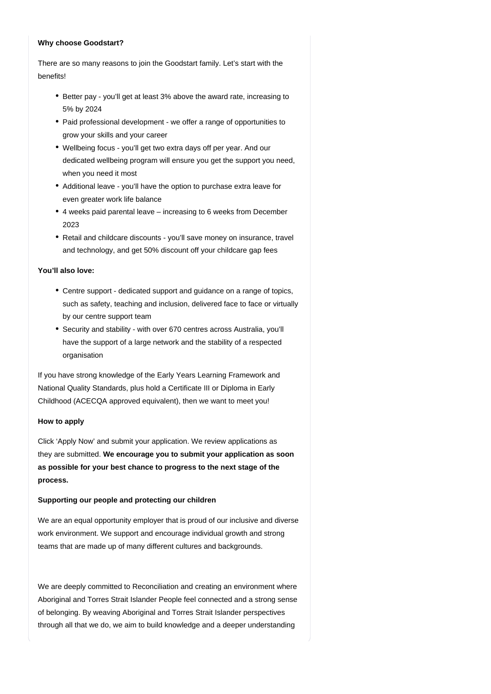#### **Why choose Goodstart?**

There are so many reasons to join the Goodstart family. Let's start with the benefits!

- Better pay you'll get at least 3% above the award rate, increasing to 5% by 2024
- Paid professional development we offer a range of opportunities to grow your skills and your career
- Wellbeing focus you'll get two extra days off per year. And our dedicated wellbeing program will ensure you get the support you need, when you need it most
- Additional leave you'll have the option to purchase extra leave for even greater work life balance
- 4 weeks paid parental leave increasing to 6 weeks from December 2023
- Retail and childcare discounts you'll save money on insurance, travel and technology, and get 50% discount off your childcare gap fees

# **You'll also love:**

- Centre support dedicated support and guidance on a range of topics, such as safety, teaching and inclusion, delivered face to face or virtually by our centre support team
- Security and stability with over 670 centres across Australia, you'll have the support of a large network and the stability of a respected organisation

If you have strong knowledge of the Early Years Learning Framework and National Quality Standards, plus hold a Certificate III or Diploma in Early Childhood (ACECQA approved equivalent), then we want to meet you!

# **How to apply**

Click 'Apply Now' and submit your application. We review applications as they are submitted. **We encourage you to submit your application as soon as possible for your best chance to progress to the next stage of the process.**

# **Supporting our people and protecting our children**

We are an equal opportunity employer that is proud of our inclusive and diverse work environment. We support and encourage individual growth and strong teams that are made up of many different cultures and backgrounds.

We are deeply committed to Reconciliation and creating an environment where Aboriginal and Torres Strait Islander People feel connected and a strong sense of belonging. By weaving Aboriginal and Torres Strait Islander perspectives through all that we do, we aim to build knowledge and a deeper understanding